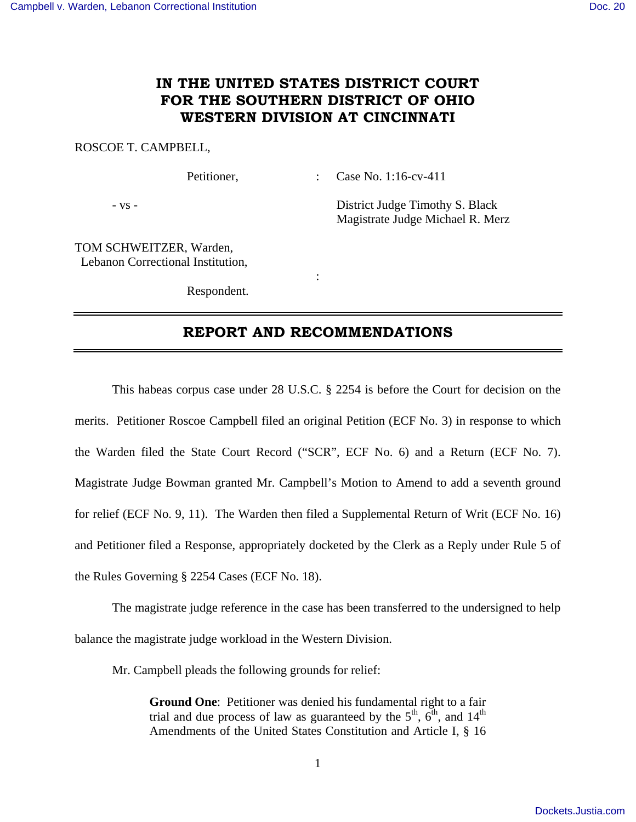# **IN THE UNITED STATES DISTRICT COURT FOR THE SOUTHERN DISTRICT OF OHIO WESTERN DIVISION AT CINCINNATI**

## ROSCOE T. CAMPBELL,

Petitioner, : Case No. 1:16-cv-411

- vs - District Judge Timothy S. Black Magistrate Judge Michael R. Merz

TOM SCHWEITZER, Warden, Lebanon Correctional Institution,

Respondent.

**Service State State State** 

## **REPORT AND RECOMMENDATIONS**

 This habeas corpus case under 28 U.S.C. § 2254 is before the Court for decision on the merits. Petitioner Roscoe Campbell filed an original Petition (ECF No. 3) in response to which the Warden filed the State Court Record ("SCR", ECF No. 6) and a Return (ECF No. 7). Magistrate Judge Bowman granted Mr. Campbell's Motion to Amend to add a seventh ground for relief (ECF No. 9, 11). The Warden then filed a Supplemental Return of Writ (ECF No. 16) and Petitioner filed a Response, appropriately docketed by the Clerk as a Reply under Rule 5 of the Rules Governing § 2254 Cases (ECF No. 18).

 The magistrate judge reference in the case has been transferred to the undersigned to help balance the magistrate judge workload in the Western Division.

Mr. Campbell pleads the following grounds for relief:

**Ground One**: Petitioner was denied his fundamental right to a fair trial and due process of law as guaranteed by the  $5<sup>th</sup>$ ,  $6<sup>th</sup>$ , and  $14<sup>th</sup>$ Amendments of the United States Constitution and Article I, § 16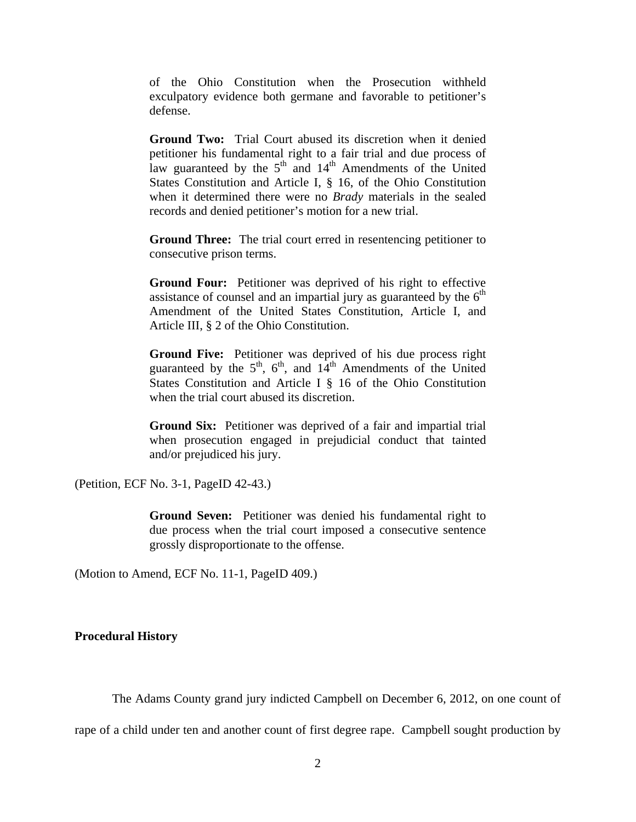of the Ohio Constitution when the Prosecution withheld exculpatory evidence both germane and favorable to petitioner's defense.

**Ground Two:** Trial Court abused its discretion when it denied petitioner his fundamental right to a fair trial and due process of law guaranteed by the  $5<sup>th</sup>$  and  $14<sup>th</sup>$  Amendments of the United States Constitution and Article I, § 16, of the Ohio Constitution when it determined there were no *Brady* materials in the sealed records and denied petitioner's motion for a new trial.

**Ground Three:** The trial court erred in resentencing petitioner to consecutive prison terms.

**Ground Four:** Petitioner was deprived of his right to effective assistance of counsel and an impartial jury as guaranteed by the  $6<sup>th</sup>$ Amendment of the United States Constitution, Article I, and Article III, § 2 of the Ohio Constitution.

**Ground Five:** Petitioner was deprived of his due process right guaranteed by the  $5<sup>th</sup>$ ,  $6<sup>th</sup>$ , and  $14<sup>th</sup>$  Amendments of the United States Constitution and Article I § 16 of the Ohio Constitution when the trial court abused its discretion.

**Ground Six:** Petitioner was deprived of a fair and impartial trial when prosecution engaged in prejudicial conduct that tainted and/or prejudiced his jury.

(Petition, ECF No. 3-1, PageID 42-43.)

**Ground Seven:** Petitioner was denied his fundamental right to due process when the trial court imposed a consecutive sentence grossly disproportionate to the offense.

(Motion to Amend, ECF No. 11-1, PageID 409.)

## **Procedural History**

The Adams County grand jury indicted Campbell on December 6, 2012, on one count of

rape of a child under ten and another count of first degree rape. Campbell sought production by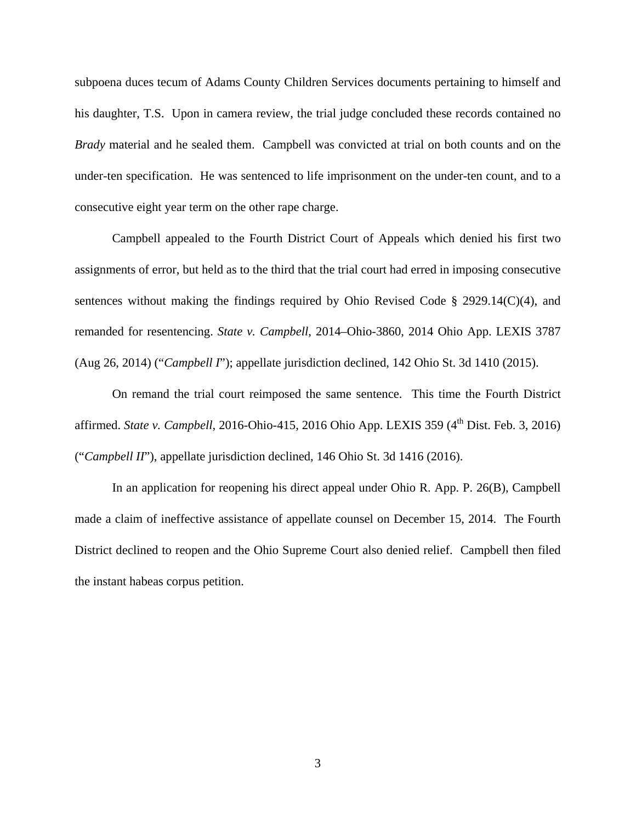subpoena duces tecum of Adams County Children Services documents pertaining to himself and his daughter, T.S. Upon in camera review, the trial judge concluded these records contained no *Brady* material and he sealed them. Campbell was convicted at trial on both counts and on the under-ten specification. He was sentenced to life imprisonment on the under-ten count, and to a consecutive eight year term on the other rape charge.

 Campbell appealed to the Fourth District Court of Appeals which denied his first two assignments of error, but held as to the third that the trial court had erred in imposing consecutive sentences without making the findings required by Ohio Revised Code § 2929.14(C)(4), and remanded for resentencing. *State v. Campbell*, 2014–Ohio-3860, 2014 Ohio App. LEXIS 3787 (Aug 26, 2014) ("*Campbell I*"); appellate jurisdiction declined, 142 Ohio St. 3d 1410 (2015).

 On remand the trial court reimposed the same sentence. This time the Fourth District affirmed. *State v. Campbell*, 2016-Ohio-415, 2016 Ohio App. LEXIS 359 (4<sup>th</sup> Dist. Feb. 3, 2016) ("*Campbell II*"), appellate jurisdiction declined, 146 Ohio St. 3d 1416 (2016).

 In an application for reopening his direct appeal under Ohio R. App. P. 26(B), Campbell made a claim of ineffective assistance of appellate counsel on December 15, 2014. The Fourth District declined to reopen and the Ohio Supreme Court also denied relief. Campbell then filed the instant habeas corpus petition.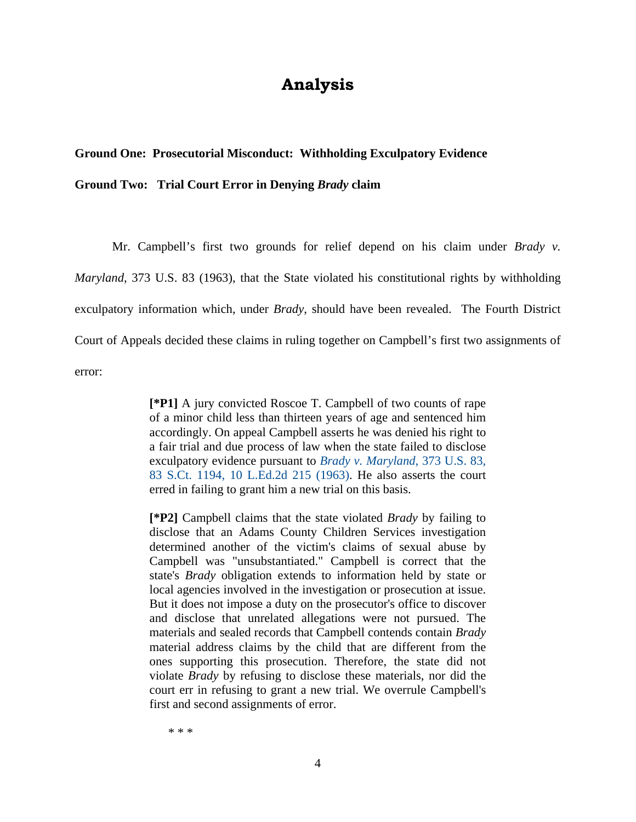# **Analysis**

## **Ground One: Prosecutorial Misconduct: Withholding Exculpatory Evidence**

**Ground Two: Trial Court Error in Denying** *Brady* **claim** 

 Mr. Campbell's first two grounds for relief depend on his claim under *Brady v. Maryland*, 373 U.S. 83 (1963), that the State violated his constitutional rights by withholding exculpatory information which, under *Brady*, should have been revealed. The Fourth District Court of Appeals decided these claims in ruling together on Campbell's first two assignments of error:

> **[\*P1]** A jury convicted Roscoe T. Campbell of two counts of rape of a minor child less than thirteen years of age and sentenced him accordingly. On appeal Campbell asserts he was denied his right to a fair trial and due process of law when the state failed to disclose exculpatory evidence pursuant to *Brady v. Maryland*, 373 U.S. 83, 83 S.Ct. 1194, 10 L.Ed.2d 215 (1963). He also asserts the court erred in failing to grant him a new trial on this basis.

> **[\*P2]** Campbell claims that the state violated *Brady* by failing to disclose that an Adams County Children Services investigation determined another of the victim's claims of sexual abuse by Campbell was "unsubstantiated." Campbell is correct that the state's *Brady* obligation extends to information held by state or local agencies involved in the investigation or prosecution at issue. But it does not impose a duty on the prosecutor's office to discover and disclose that unrelated allegations were not pursued. The materials and sealed records that Campbell contends contain *Brady* material address claims by the child that are different from the ones supporting this prosecution. Therefore, the state did not violate *Brady* by refusing to disclose these materials, nor did the court err in refusing to grant a new trial. We overrule Campbell's first and second assignments of error.

\* \* \*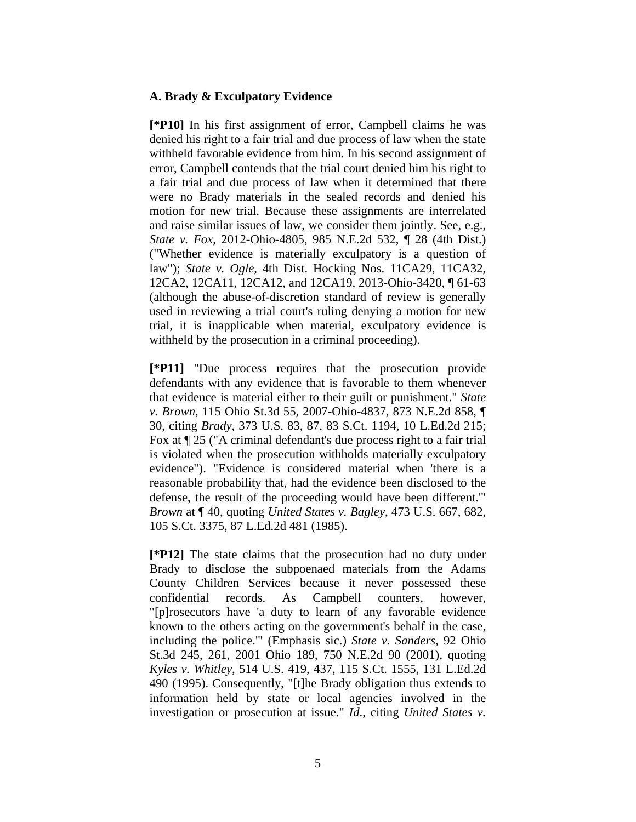## **A. Brady & Exculpatory Evidence**

**[\*P10]** In his first assignment of error, Campbell claims he was denied his right to a fair trial and due process of law when the state withheld favorable evidence from him. In his second assignment of error, Campbell contends that the trial court denied him his right to a fair trial and due process of law when it determined that there were no Brady materials in the sealed records and denied his motion for new trial. Because these assignments are interrelated and raise similar issues of law, we consider them jointly. See, e.g., *State v. Fox*, 2012-Ohio-4805, 985 N.E.2d 532, ¶ 28 (4th Dist.) ("Whether evidence is materially exculpatory is a question of law"); *State v. Ogle,* 4th Dist. Hocking Nos. 11CA29, 11CA32, 12CA2, 12CA11, 12CA12, and 12CA19, 2013-Ohio-3420, ¶ 61-63 (although the abuse-of-discretion standard of review is generally used in reviewing a trial court's ruling denying a motion for new trial, it is inapplicable when material, exculpatory evidence is withheld by the prosecution in a criminal proceeding).

**[\*P11]** "Due process requires that the prosecution provide defendants with any evidence that is favorable to them whenever that evidence is material either to their guilt or punishment." *State v. Brown*, 115 Ohio St.3d 55, 2007-Ohio-4837, 873 N.E.2d 858, ¶ 30, citing *Brady*, 373 U.S. 83, 87, 83 S.Ct. 1194, 10 L.Ed.2d 215; Fox at ¶ 25 ("A criminal defendant's due process right to a fair trial is violated when the prosecution withholds materially exculpatory evidence"). "Evidence is considered material when 'there is a reasonable probability that, had the evidence been disclosed to the defense, the result of the proceeding would have been different.'" *Brown* at ¶ 40, quoting *United States v. Bagley*, 473 U.S. 667, 682, 105 S.Ct. 3375, 87 L.Ed.2d 481 (1985).

**[\*P12]** The state claims that the prosecution had no duty under Brady to disclose the subpoenaed materials from the Adams County Children Services because it never possessed these confidential records. As Campbell counters, however, "[p]rosecutors have 'a duty to learn of any favorable evidence known to the others acting on the government's behalf in the case, including the police.'" (Emphasis sic.) *State v. Sanders*, 92 Ohio St.3d 245, 261, 2001 Ohio 189, 750 N.E.2d 90 (2001), quoting *Kyles v. Whitley*, 514 U.S. 419, 437, 115 S.Ct. 1555, 131 L.Ed.2d 490 (1995). Consequently, "[t]he Brady obligation thus extends to information held by state or local agencies involved in the investigation or prosecution at issue." *Id*., citing *United States v.*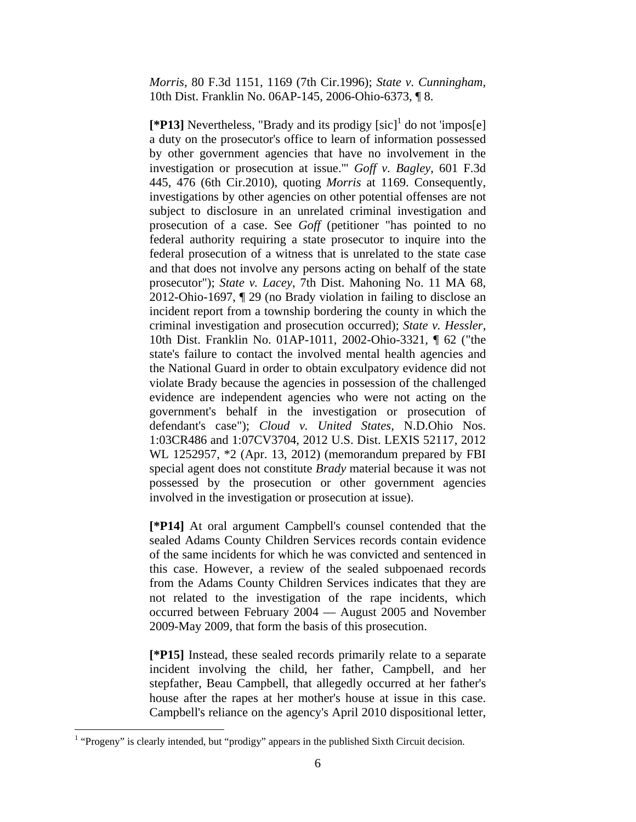*Morris*, 80 F.3d 1151, 1169 (7th Cir.1996); *State v. Cunningham,* 10th Dist. Franklin No. 06AP-145, 2006-Ohio-6373, ¶ 8.

 $[$ **\*P13**] Nevertheless, "Brady and its prodigy  $[\text{sic}]^1$  do not 'impos[e] a duty on the prosecutor's office to learn of information possessed by other government agencies that have no involvement in the investigation or prosecution at issue.'" *Goff v. Bagley*, 601 F.3d 445, 476 (6th Cir.2010), quoting *Morris* at 1169. Consequently, investigations by other agencies on other potential offenses are not subject to disclosure in an unrelated criminal investigation and prosecution of a case. See *Goff* (petitioner "has pointed to no federal authority requiring a state prosecutor to inquire into the federal prosecution of a witness that is unrelated to the state case and that does not involve any persons acting on behalf of the state prosecutor"); *State v. Lacey*, 7th Dist. Mahoning No. 11 MA 68, 2012-Ohio-1697, ¶ 29 (no Brady violation in failing to disclose an incident report from a township bordering the county in which the criminal investigation and prosecution occurred); *State v. Hessler*, 10th Dist. Franklin No. 01AP-1011, 2002-Ohio-3321, ¶ 62 ("the state's failure to contact the involved mental health agencies and the National Guard in order to obtain exculpatory evidence did not violate Brady because the agencies in possession of the challenged evidence are independent agencies who were not acting on the government's behalf in the investigation or prosecution of defendant's case"); *Cloud v. United States*, N.D.Ohio Nos. 1:03CR486 and 1:07CV3704, 2012 U.S. Dist. LEXIS 52117, 2012 WL 1252957, \*2 (Apr. 13, 2012) (memorandum prepared by FBI special agent does not constitute *Brady* material because it was not possessed by the prosecution or other government agencies involved in the investigation or prosecution at issue).

**[\*P14]** At oral argument Campbell's counsel contended that the sealed Adams County Children Services records contain evidence of the same incidents for which he was convicted and sentenced in this case. However, a review of the sealed subpoenaed records from the Adams County Children Services indicates that they are not related to the investigation of the rape incidents, which occurred between February 2004 — August 2005 and November 2009-May 2009, that form the basis of this prosecution.

**[\*P15]** Instead, these sealed records primarily relate to a separate incident involving the child, her father, Campbell, and her stepfather, Beau Campbell, that allegedly occurred at her father's house after the rapes at her mother's house at issue in this case. Campbell's reliance on the agency's April 2010 dispositional letter,

<u>.</u>

<sup>&</sup>lt;sup>1</sup> "Progeny" is clearly intended, but "prodigy" appears in the published Sixth Circuit decision.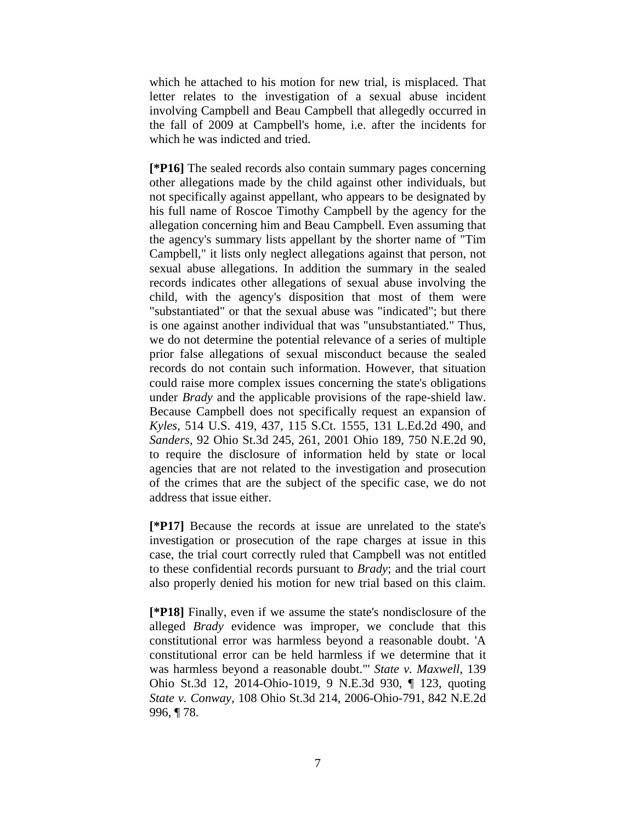which he attached to his motion for new trial, is misplaced. That letter relates to the investigation of a sexual abuse incident involving Campbell and Beau Campbell that allegedly occurred in the fall of 2009 at Campbell's home, i.e. after the incidents for which he was indicted and tried.

**[\*P16]** The sealed records also contain summary pages concerning other allegations made by the child against other individuals, but not specifically against appellant, who appears to be designated by his full name of Roscoe Timothy Campbell by the agency for the allegation concerning him and Beau Campbell. Even assuming that the agency's summary lists appellant by the shorter name of "Tim Campbell," it lists only neglect allegations against that person, not sexual abuse allegations. In addition the summary in the sealed records indicates other allegations of sexual abuse involving the child, with the agency's disposition that most of them were "substantiated" or that the sexual abuse was "indicated"; but there is one against another individual that was "unsubstantiated." Thus, we do not determine the potential relevance of a series of multiple prior false allegations of sexual misconduct because the sealed records do not contain such information. However, that situation could raise more complex issues concerning the state's obligations under *Brady* and the applicable provisions of the rape-shield law. Because Campbell does not specifically request an expansion of *Kyles*, 514 U.S. 419, 437, 115 S.Ct. 1555, 131 L.Ed.2d 490, and *Sanders*, 92 Ohio St.3d 245, 261, 2001 Ohio 189, 750 N.E.2d 90, to require the disclosure of information held by state or local agencies that are not related to the investigation and prosecution of the crimes that are the subject of the specific case, we do not address that issue either.

**[\*P17]** Because the records at issue are unrelated to the state's investigation or prosecution of the rape charges at issue in this case, the trial court correctly ruled that Campbell was not entitled to these confidential records pursuant to *Brady*; and the trial court also properly denied his motion for new trial based on this claim.

**[\*P18]** Finally, even if we assume the state's nondisclosure of the alleged *Brady* evidence was improper, we conclude that this constitutional error was harmless beyond a reasonable doubt. 'A constitutional error can be held harmless if we determine that it was harmless beyond a reasonable doubt."' *State v. Maxwell*, 139 Ohio St.3d 12, 2014-Ohio-1019, 9 N.E.3d 930, ¶ 123, quoting *State v. Conway*, 108 Ohio St.3d 214, 2006-Ohio-791, 842 N.E.2d 996, ¶ 78.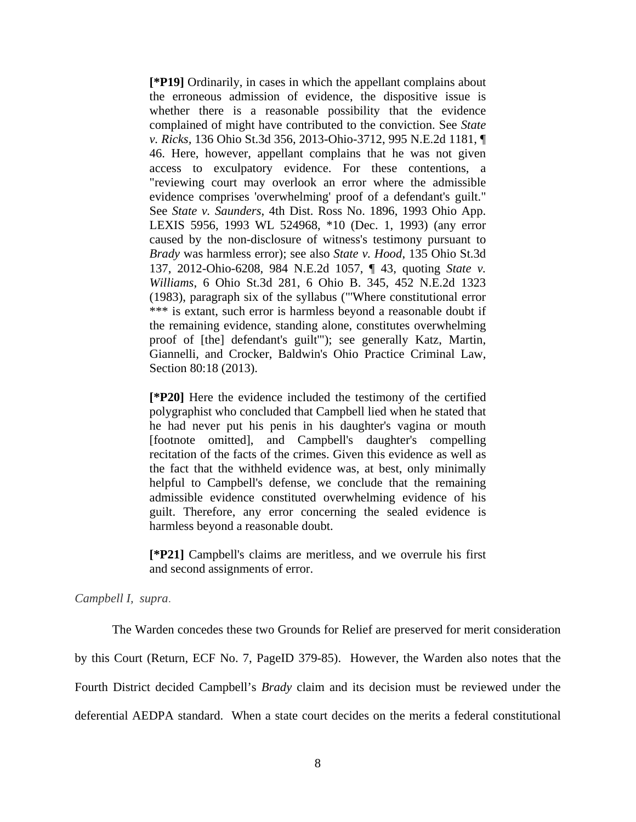**[\*P19]** Ordinarily, in cases in which the appellant complains about the erroneous admission of evidence, the dispositive issue is whether there is a reasonable possibility that the evidence complained of might have contributed to the conviction. See *State v. Ricks,* 136 Ohio St.3d 356, 2013-Ohio-3712, 995 N.E.2d 1181, ¶ 46. Here, however, appellant complains that he was not given access to exculpatory evidence. For these contentions, a "reviewing court may overlook an error where the admissible evidence comprises 'overwhelming' proof of a defendant's guilt." See *State v. Saunders*, 4th Dist. Ross No. 1896, 1993 Ohio App. LEXIS 5956, 1993 WL 524968, \*10 (Dec. 1, 1993) (any error caused by the non-disclosure of witness's testimony pursuant to *Brady* was harmless error); see also *State v. Hood*, 135 Ohio St.3d 137, 2012-Ohio-6208, 984 N.E.2d 1057, ¶ 43, quoting *State v. Williams*, 6 Ohio St.3d 281, 6 Ohio B. 345, 452 N.E.2d 1323 (1983), paragraph six of the syllabus ("'Where constitutional error \*\*\* is extant, such error is harmless beyond a reasonable doubt if the remaining evidence, standing alone, constitutes overwhelming proof of [the] defendant's guilt'"); see generally Katz, Martin, Giannelli, and Crocker, Baldwin's Ohio Practice Criminal Law, Section 80:18 (2013).

**[\*P20]** Here the evidence included the testimony of the certified polygraphist who concluded that Campbell lied when he stated that he had never put his penis in his daughter's vagina or mouth [footnote omitted], and Campbell's daughter's compelling recitation of the facts of the crimes. Given this evidence as well as the fact that the withheld evidence was, at best, only minimally helpful to Campbell's defense, we conclude that the remaining admissible evidence constituted overwhelming evidence of his guilt. Therefore, any error concerning the sealed evidence is harmless beyond a reasonable doubt.

**[\*P21]** Campbell's claims are meritless, and we overrule his first and second assignments of error.

## *Campbell I, supra*.

 The Warden concedes these two Grounds for Relief are preserved for merit consideration by this Court (Return, ECF No. 7, PageID 379-85). However, the Warden also notes that the Fourth District decided Campbell's *Brady* claim and its decision must be reviewed under the deferential AEDPA standard. When a state court decides on the merits a federal constitutional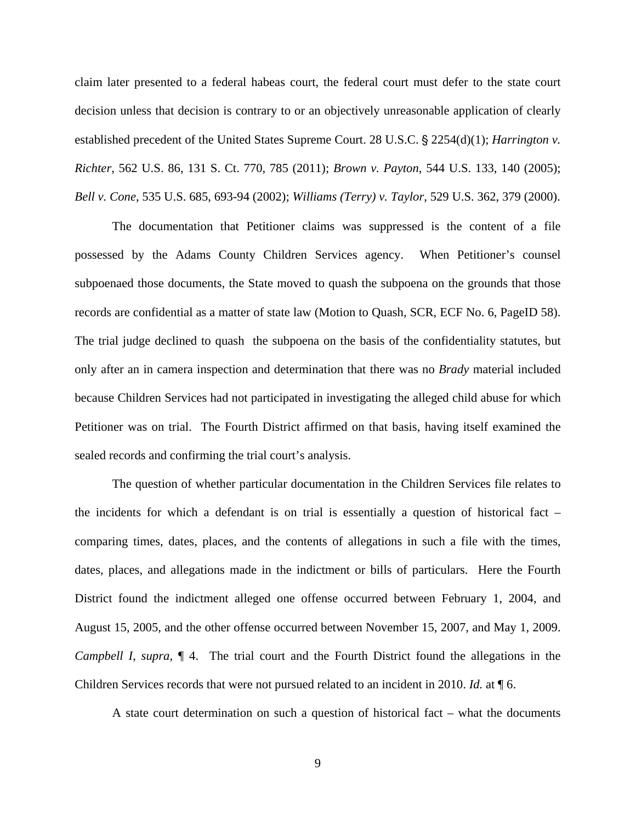claim later presented to a federal habeas court, the federal court must defer to the state court decision unless that decision is contrary to or an objectively unreasonable application of clearly established precedent of the United States Supreme Court. 28 U.S.C. § 2254(d)(1); *Harrington v. Richter*, 562 U.S. 86, 131 S. Ct. 770, 785 (2011); *Brown v. Payton*, 544 U.S. 133, 140 (2005); *Bell v. Cone*, 535 U.S. 685, 693-94 (2002); *Williams (Terry) v. Taylor*, 529 U.S. 362, 379 (2000).

 The documentation that Petitioner claims was suppressed is the content of a file possessed by the Adams County Children Services agency. When Petitioner's counsel subpoenaed those documents, the State moved to quash the subpoena on the grounds that those records are confidential as a matter of state law (Motion to Quash, SCR, ECF No. 6, PageID 58). The trial judge declined to quash the subpoena on the basis of the confidentiality statutes, but only after an in camera inspection and determination that there was no *Brady* material included because Children Services had not participated in investigating the alleged child abuse for which Petitioner was on trial. The Fourth District affirmed on that basis, having itself examined the sealed records and confirming the trial court's analysis.

 The question of whether particular documentation in the Children Services file relates to the incidents for which a defendant is on trial is essentially a question of historical fact – comparing times, dates, places, and the contents of allegations in such a file with the times, dates, places, and allegations made in the indictment or bills of particulars. Here the Fourth District found the indictment alleged one offense occurred between February 1, 2004, and August 15, 2005, and the other offense occurred between November 15, 2007, and May 1, 2009. *Campbell I*, *supra*, ¶ 4. The trial court and the Fourth District found the allegations in the Children Services records that were not pursued related to an incident in 2010. *Id.* at ¶ 6.

A state court determination on such a question of historical fact – what the documents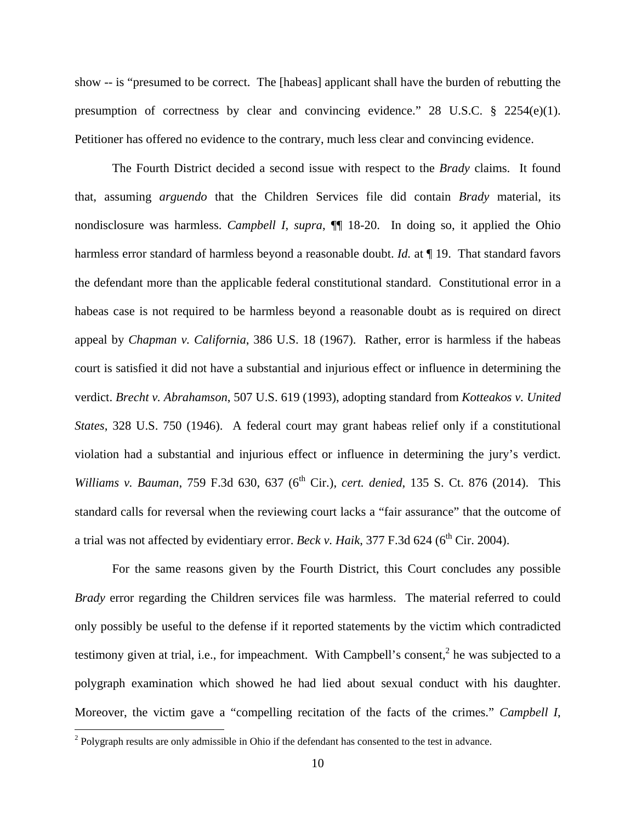show -- is "presumed to be correct. The [habeas] applicant shall have the burden of rebutting the presumption of correctness by clear and convincing evidence." 28 U.S.C. § 2254(e)(1). Petitioner has offered no evidence to the contrary, much less clear and convincing evidence.

The Fourth District decided a second issue with respect to the *Brady* claims. It found that, assuming *arguendo* that the Children Services file did contain *Brady* material, its nondisclosure was harmless. *Campbell I*, *supra*, ¶¶ 18-20. In doing so, it applied the Ohio harmless error standard of harmless beyond a reasonable doubt. *Id.* at 19. That standard favors the defendant more than the applicable federal constitutional standard. Constitutional error in a habeas case is not required to be harmless beyond a reasonable doubt as is required on direct appeal by *Chapman v. California*, 386 U.S. 18 (1967). Rather, error is harmless if the habeas court is satisfied it did not have a substantial and injurious effect or influence in determining the verdict. *Brecht v. Abrahamson*, 507 U.S. 619 (1993), adopting standard from *Kotteakos v. United States*, 328 U.S. 750 (1946). A federal court may grant habeas relief only if a constitutional violation had a substantial and injurious effect or influence in determining the jury's verdict. *Williams v. Bauman*, 759 F.3d 630, 637 (6<sup>th</sup> Cir.), *cert. denied*, 135 S. Ct. 876 (2014). This standard calls for reversal when the reviewing court lacks a "fair assurance" that the outcome of a trial was not affected by evidentiary error. *Beck v. Haik*,  $377$  F.3d  $624$  ( $6<sup>th</sup>$  Cir. 2004).

For the same reasons given by the Fourth District, this Court concludes any possible *Brady* error regarding the Children services file was harmless. The material referred to could only possibly be useful to the defense if it reported statements by the victim which contradicted testimony given at trial, i.e., for impeachment. With Campbell's consent,<sup>2</sup> he was subjected to a polygraph examination which showed he had lied about sexual conduct with his daughter. Moreover, the victim gave a "compelling recitation of the facts of the crimes." *Campbell I*,

<u>.</u>

 $2$  Polygraph results are only admissible in Ohio if the defendant has consented to the test in advance.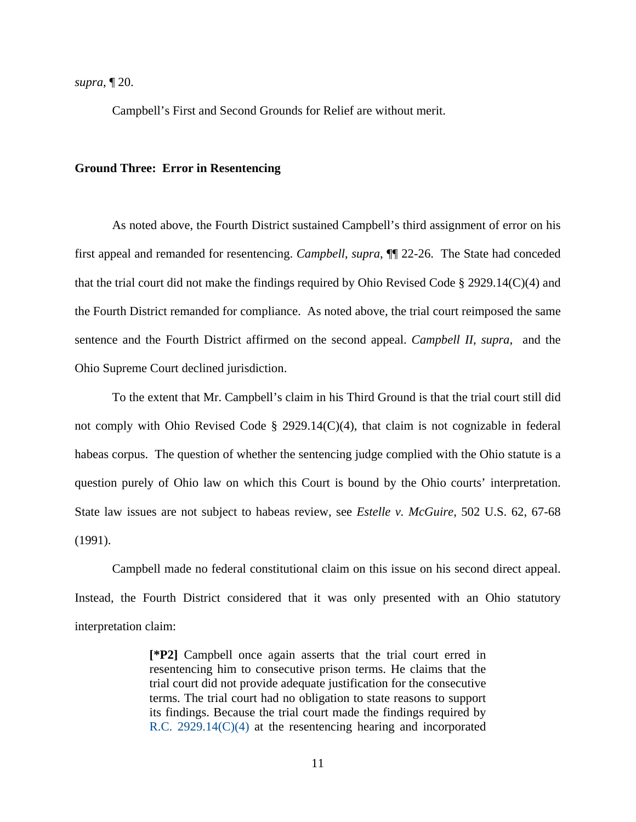*supra*, ¶ 20.

Campbell's First and Second Grounds for Relief are without merit.

## **Ground Three: Error in Resentencing**

 As noted above, the Fourth District sustained Campbell's third assignment of error on his first appeal and remanded for resentencing. *Campbell*, *supra*, ¶¶ 22-26. The State had conceded that the trial court did not make the findings required by Ohio Revised Code § 2929.14(C)(4) and the Fourth District remanded for compliance. As noted above, the trial court reimposed the same sentence and the Fourth District affirmed on the second appeal. *Campbell II*, *supra*, and the Ohio Supreme Court declined jurisdiction.

 To the extent that Mr. Campbell's claim in his Third Ground is that the trial court still did not comply with Ohio Revised Code § 2929.14(C)(4), that claim is not cognizable in federal habeas corpus. The question of whether the sentencing judge complied with the Ohio statute is a question purely of Ohio law on which this Court is bound by the Ohio courts' interpretation. State law issues are not subject to habeas review, see *Estelle v. McGuire*, 502 U.S. 62, 67-68 (1991).

 Campbell made no federal constitutional claim on this issue on his second direct appeal. Instead, the Fourth District considered that it was only presented with an Ohio statutory interpretation claim:

> **[\*P2]** Campbell once again asserts that the trial court erred in resentencing him to consecutive prison terms. He claims that the trial court did not provide adequate justification for the consecutive terms. The trial court had no obligation to state reasons to support its findings. Because the trial court made the findings required by R.C. 2929.14(C)(4) at the resentencing hearing and incorporated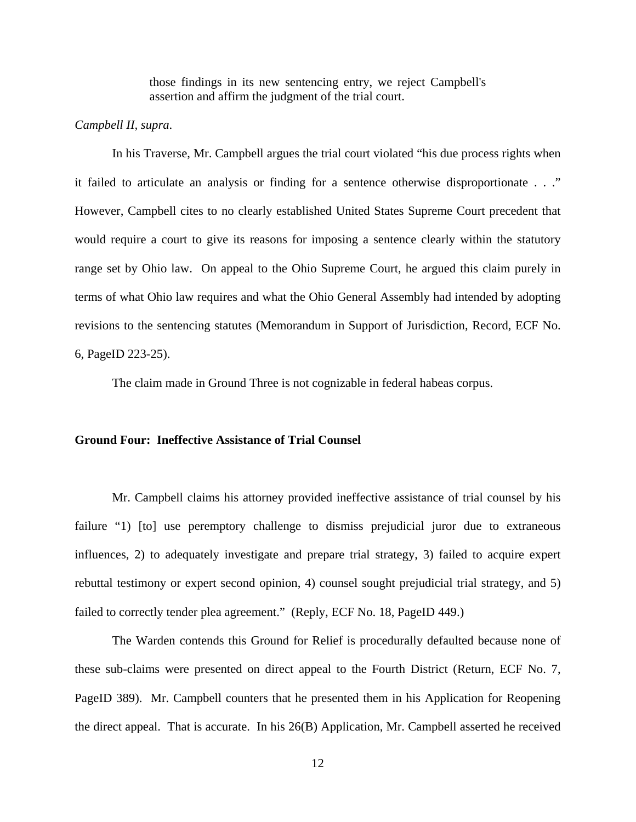those findings in its new sentencing entry, we reject Campbell's assertion and affirm the judgment of the trial court.

## *Campbell II, supra*.

 In his Traverse, Mr. Campbell argues the trial court violated "his due process rights when it failed to articulate an analysis or finding for a sentence otherwise disproportionate . . ." However, Campbell cites to no clearly established United States Supreme Court precedent that would require a court to give its reasons for imposing a sentence clearly within the statutory range set by Ohio law. On appeal to the Ohio Supreme Court, he argued this claim purely in terms of what Ohio law requires and what the Ohio General Assembly had intended by adopting revisions to the sentencing statutes (Memorandum in Support of Jurisdiction, Record, ECF No. 6, PageID 223-25).

The claim made in Ground Three is not cognizable in federal habeas corpus.

## **Ground Four: Ineffective Assistance of Trial Counsel**

Mr. Campbell claims his attorney provided ineffective assistance of trial counsel by his failure "1) [to] use peremptory challenge to dismiss prejudicial juror due to extraneous influences, 2) to adequately investigate and prepare trial strategy, 3) failed to acquire expert rebuttal testimony or expert second opinion, 4) counsel sought prejudicial trial strategy, and 5) failed to correctly tender plea agreement." (Reply, ECF No. 18, PageID 449.)

 The Warden contends this Ground for Relief is procedurally defaulted because none of these sub-claims were presented on direct appeal to the Fourth District (Return, ECF No. 7, PageID 389). Mr. Campbell counters that he presented them in his Application for Reopening the direct appeal. That is accurate. In his 26(B) Application, Mr. Campbell asserted he received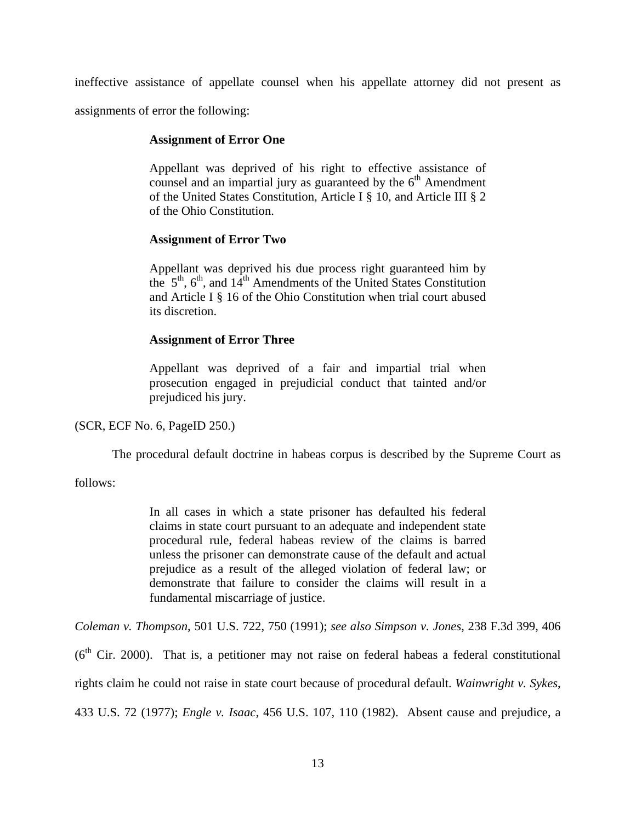ineffective assistance of appellate counsel when his appellate attorney did not present as assignments of error the following:

## **Assignment of Error One**

Appellant was deprived of his right to effective assistance of counsel and an impartial jury as guaranteed by the  $6<sup>th</sup>$  Amendment of the United States Constitution, Article I § 10, and Article III § 2 of the Ohio Constitution.

## **Assignment of Error Two**

Appellant was deprived his due process right guaranteed him by the  $5<sup>th</sup>$ ,  $6<sup>th</sup>$ , and  $14<sup>th</sup>$  Amendments of the United States Constitution and Article I § 16 of the Ohio Constitution when trial court abused its discretion.

## **Assignment of Error Three**

Appellant was deprived of a fair and impartial trial when prosecution engaged in prejudicial conduct that tainted and/or prejudiced his jury.

(SCR, ECF No. 6, PageID 250.)

The procedural default doctrine in habeas corpus is described by the Supreme Court as

follows:

In all cases in which a state prisoner has defaulted his federal claims in state court pursuant to an adequate and independent state procedural rule, federal habeas review of the claims is barred unless the prisoner can demonstrate cause of the default and actual prejudice as a result of the alleged violation of federal law; or demonstrate that failure to consider the claims will result in a fundamental miscarriage of justice.

*Coleman v. Thompson*, 501 U.S. 722, 750 (1991); *see also Simpson v. Jones*, 238 F.3d 399, 406

 $(6<sup>th</sup> Cir. 2000)$ . That is, a petitioner may not raise on federal habeas a federal constitutional rights claim he could not raise in state court because of procedural default. *Wainwright v. Sykes*, 433 U.S. 72 (1977); *Engle v. Isaac*, 456 U.S. 107, 110 (1982). Absent cause and prejudice, a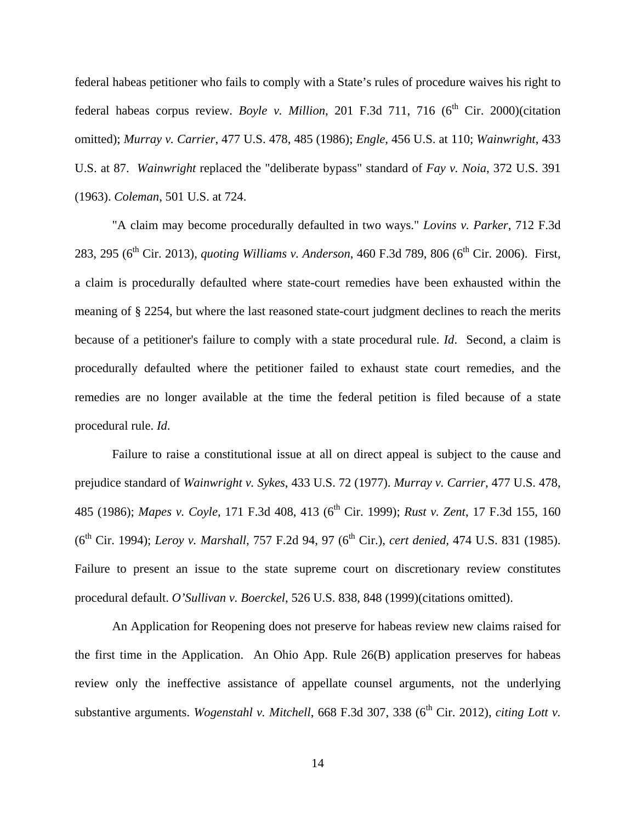federal habeas petitioner who fails to comply with a State's rules of procedure waives his right to federal habeas corpus review. *Boyle v. Million*, 201 F.3d 711, 716 (6<sup>th</sup> Cir. 2000)(citation omitted); *Murray v. Carrier*, 477 U.S. 478, 485 (1986); *Engle*, 456 U.S. at 110; *Wainwright*, 433 U.S. at 87. *Wainwright* replaced the "deliberate bypass" standard of *Fay v. Noia*, 372 U.S. 391 (1963). *Coleman*, 501 U.S. at 724.

"A claim may become procedurally defaulted in two ways." *Lovins v. Parker*, 712 F.3d 283, 295 (6<sup>th</sup> Cir. 2013), *quoting Williams v. Anderson*, 460 F.3d 789, 806 (6<sup>th</sup> Cir. 2006). First, a claim is procedurally defaulted where state-court remedies have been exhausted within the meaning of § 2254, but where the last reasoned state-court judgment declines to reach the merits because of a petitioner's failure to comply with a state procedural rule. *Id*. Second, a claim is procedurally defaulted where the petitioner failed to exhaust state court remedies, and the remedies are no longer available at the time the federal petition is filed because of a state procedural rule. *Id*.

 Failure to raise a constitutional issue at all on direct appeal is subject to the cause and prejudice standard of *Wainwright v. Sykes*, 433 U.S. 72 (1977). *Murray v. Carrier*, 477 U.S. 478, 485 (1986); *Mapes v. Coyle*, 171 F.3d 408, 413 (6<sup>th</sup> Cir. 1999); *Rust v. Zent*, 17 F.3d 155, 160 (6th Cir. 1994); *Leroy v. Marshall*, 757 F.2d 94, 97 (6th Cir.), *cert denied,* 474 U.S. 831 (1985). Failure to present an issue to the state supreme court on discretionary review constitutes procedural default. *O'Sullivan v. Boerckel*, 526 U.S. 838, 848 (1999)(citations omitted).

 An Application for Reopening does not preserve for habeas review new claims raised for the first time in the Application. An Ohio App. Rule 26(B) application preserves for habeas review only the ineffective assistance of appellate counsel arguments, not the underlying substantive arguments. *Wogenstahl v. Mitchell*, 668 F.3d 307, 338 (6<sup>th</sup> Cir. 2012), *citing Lott v.*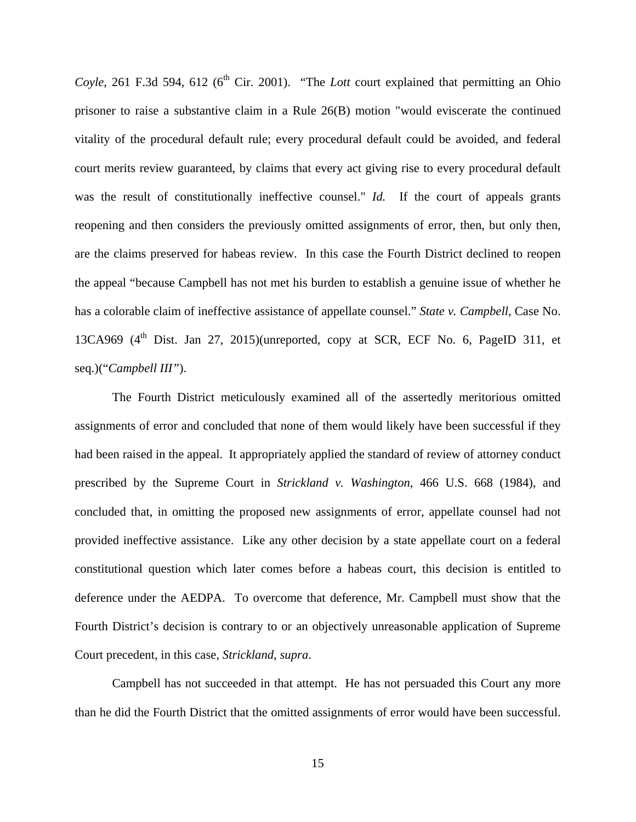*Coyle*, 261 F.3d 594, 612 (6<sup>th</sup> Cir. 2001). "The *Lott* court explained that permitting an Ohio prisoner to raise a substantive claim in a Rule 26(B) motion "would eviscerate the continued vitality of the procedural default rule; every procedural default could be avoided, and federal court merits review guaranteed, by claims that every act giving rise to every procedural default was the result of constitutionally ineffective counsel." *Id.* If the court of appeals grants reopening and then considers the previously omitted assignments of error, then, but only then, are the claims preserved for habeas review. In this case the Fourth District declined to reopen the appeal "because Campbell has not met his burden to establish a genuine issue of whether he has a colorable claim of ineffective assistance of appellate counsel." *State v. Campbell,* Case No. 13CA969  $(4<sup>th</sup> Dist. Jan 27, 2015)(unreported, copy at SCR, ECF No. 6, PageID 311, et$ seq.)("*Campbell III"*).

 The Fourth District meticulously examined all of the assertedly meritorious omitted assignments of error and concluded that none of them would likely have been successful if they had been raised in the appeal. It appropriately applied the standard of review of attorney conduct prescribed by the Supreme Court in *Strickland v. Washington*, 466 U.S. 668 (1984), and concluded that, in omitting the proposed new assignments of error, appellate counsel had not provided ineffective assistance. Like any other decision by a state appellate court on a federal constitutional question which later comes before a habeas court, this decision is entitled to deference under the AEDPA. To overcome that deference, Mr. Campbell must show that the Fourth District's decision is contrary to or an objectively unreasonable application of Supreme Court precedent, in this case, *Strickland*, *supra*.

 Campbell has not succeeded in that attempt. He has not persuaded this Court any more than he did the Fourth District that the omitted assignments of error would have been successful.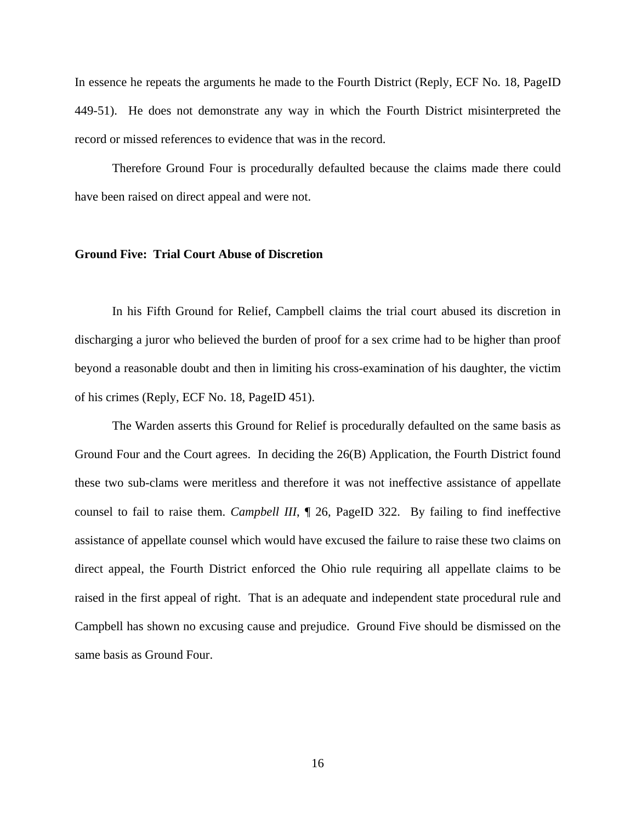In essence he repeats the arguments he made to the Fourth District (Reply, ECF No. 18, PageID 449-51). He does not demonstrate any way in which the Fourth District misinterpreted the record or missed references to evidence that was in the record.

 Therefore Ground Four is procedurally defaulted because the claims made there could have been raised on direct appeal and were not.

#### **Ground Five: Trial Court Abuse of Discretion**

 In his Fifth Ground for Relief, Campbell claims the trial court abused its discretion in discharging a juror who believed the burden of proof for a sex crime had to be higher than proof beyond a reasonable doubt and then in limiting his cross-examination of his daughter, the victim of his crimes (Reply, ECF No. 18, PageID 451).

 The Warden asserts this Ground for Relief is procedurally defaulted on the same basis as Ground Four and the Court agrees. In deciding the 26(B) Application, the Fourth District found these two sub-clams were meritless and therefore it was not ineffective assistance of appellate counsel to fail to raise them. *Campbell III*, ¶ 26, PageID 322. By failing to find ineffective assistance of appellate counsel which would have excused the failure to raise these two claims on direct appeal, the Fourth District enforced the Ohio rule requiring all appellate claims to be raised in the first appeal of right. That is an adequate and independent state procedural rule and Campbell has shown no excusing cause and prejudice. Ground Five should be dismissed on the same basis as Ground Four.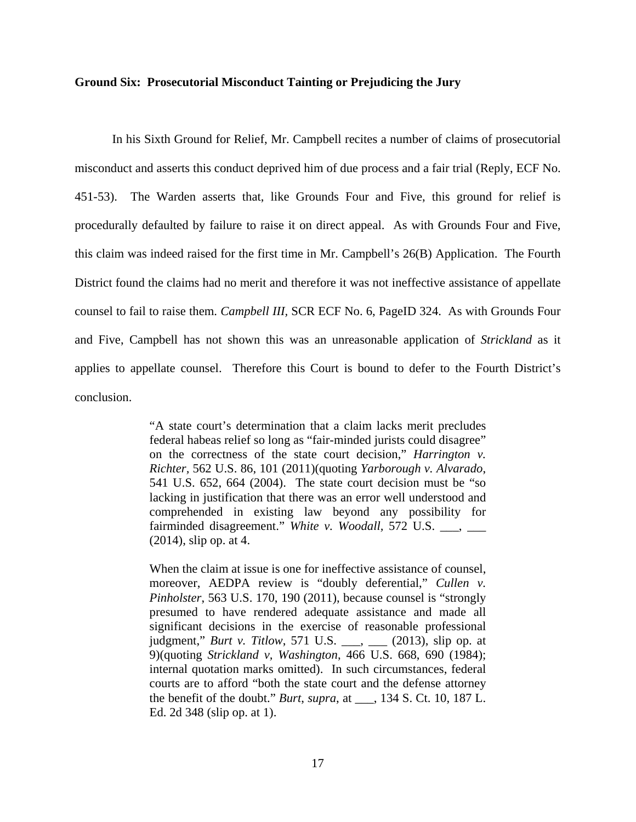#### **Ground Six: Prosecutorial Misconduct Tainting or Prejudicing the Jury**

 In his Sixth Ground for Relief, Mr. Campbell recites a number of claims of prosecutorial misconduct and asserts this conduct deprived him of due process and a fair trial (Reply, ECF No. 451-53). The Warden asserts that, like Grounds Four and Five, this ground for relief is procedurally defaulted by failure to raise it on direct appeal. As with Grounds Four and Five, this claim was indeed raised for the first time in Mr. Campbell's 26(B) Application. The Fourth District found the claims had no merit and therefore it was not ineffective assistance of appellate counsel to fail to raise them. *Campbell III,* SCR ECF No. 6, PageID 324. As with Grounds Four and Five, Campbell has not shown this was an unreasonable application of *Strickland* as it applies to appellate counsel. Therefore this Court is bound to defer to the Fourth District's conclusion.

> "A state court's determination that a claim lacks merit precludes federal habeas relief so long as "fair-minded jurists could disagree" on the correctness of the state court decision," *Harrington v. Richter,* 562 U.S. 86, 101 (2011)(quoting *Yarborough v. Alvarado*, 541 U.S. 652, 664 (2004). The state court decision must be "so lacking in justification that there was an error well understood and comprehended in existing law beyond any possibility for fairminded disagreement." White v. Woodall, 572 U.S. \_\_\_, \_\_\_ (2014), slip op. at 4.

> When the claim at issue is one for ineffective assistance of counsel, moreover, AEDPA review is "doubly deferential," *Cullen v. Pinholster*, 563 U.S. 170, 190 (2011), because counsel is "strongly presumed to have rendered adequate assistance and made all significant decisions in the exercise of reasonable professional judgment," *Burt v. Titlow*, 571 U.S. \_\_\_, \_\_\_ (2013), slip op. at 9)(quoting *Strickland v, Washington*, 466 U.S. 668, 690 (1984); internal quotation marks omitted). In such circumstances, federal courts are to afford "both the state court and the defense attorney the benefit of the doubt." *Burt*, *supra*, at \_\_\_, 134 S. Ct. 10, 187 L. Ed. 2d 348 (slip op. at 1).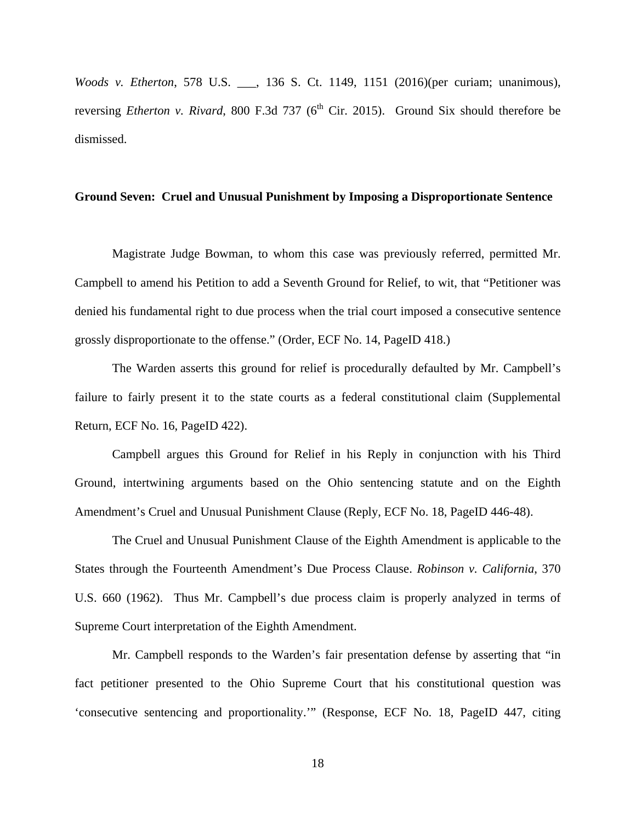*Woods v. Etherton*, 578 U.S. \_\_\_, 136 S. Ct. 1149, 1151 (2016)(per curiam; unanimous), reversing *Etherton v. Rivard*, 800 F.3d 737 (6<sup>th</sup> Cir. 2015). Ground Six should therefore be dismissed.

## **Ground Seven: Cruel and Unusual Punishment by Imposing a Disproportionate Sentence**

 Magistrate Judge Bowman, to whom this case was previously referred, permitted Mr. Campbell to amend his Petition to add a Seventh Ground for Relief, to wit, that "Petitioner was denied his fundamental right to due process when the trial court imposed a consecutive sentence grossly disproportionate to the offense." (Order, ECF No. 14, PageID 418.)

 The Warden asserts this ground for relief is procedurally defaulted by Mr. Campbell's failure to fairly present it to the state courts as a federal constitutional claim (Supplemental Return, ECF No. 16, PageID 422).

 Campbell argues this Ground for Relief in his Reply in conjunction with his Third Ground, intertwining arguments based on the Ohio sentencing statute and on the Eighth Amendment's Cruel and Unusual Punishment Clause (Reply, ECF No. 18, PageID 446-48).

 The Cruel and Unusual Punishment Clause of the Eighth Amendment is applicable to the States through the Fourteenth Amendment's Due Process Clause. *Robinson v. California*, 370 U.S. 660 (1962). Thus Mr. Campbell's due process claim is properly analyzed in terms of Supreme Court interpretation of the Eighth Amendment.

 Mr. Campbell responds to the Warden's fair presentation defense by asserting that "in fact petitioner presented to the Ohio Supreme Court that his constitutional question was 'consecutive sentencing and proportionality.'" (Response, ECF No. 18, PageID 447, citing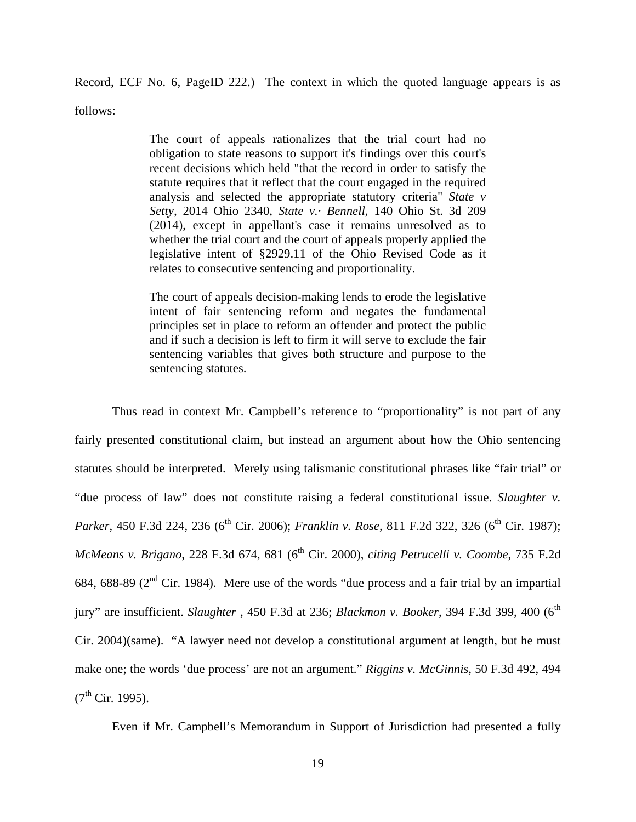Record, ECF No. 6, PageID 222.) The context in which the quoted language appears is as follows:

> The court of appeals rationalizes that the trial court had no obligation to state reasons to support it's findings over this court's recent decisions which held "that the record in order to satisfy the statute requires that it reflect that the court engaged in the required analysis and selected the appropriate statutory criteria" *State v Setty,* 2014 Ohio 2340, *State v.· Bennell,* 140 Ohio St. 3d 209 (2014), except in appellant's case it remains unresolved as to whether the trial court and the court of appeals properly applied the legislative intent of §2929.11 of the Ohio Revised Code as it relates to consecutive sentencing and proportionality.

> The court of appeals decision-making lends to erode the legislative intent of fair sentencing reform and negates the fundamental principles set in place to reform an offender and protect the public and if such a decision is left to firm it will serve to exclude the fair sentencing variables that gives both structure and purpose to the sentencing statutes.

 Thus read in context Mr. Campbell's reference to "proportionality" is not part of any fairly presented constitutional claim, but instead an argument about how the Ohio sentencing statutes should be interpreted. Merely using talismanic constitutional phrases like "fair trial" or "due process of law" does not constitute raising a federal constitutional issue. *Slaughter v. Parker*, 450 F.3d 224, 236 (6<sup>th</sup> Cir. 2006); *Franklin v. Rose*, 811 F.2d 322, 326 (6<sup>th</sup> Cir. 1987); *McMeans v. Brigano*, 228 F.3d 674, 681 (6<sup>th</sup> Cir. 2000), *citing Petrucelli v. Coombe*, 735 F.2d 684, 688-89 (2nd Cir. 1984). Mere use of the words "due process and a fair trial by an impartial jury" are insufficient. *Slaughter*, 450 F.3d at 236; *Blackmon v. Booker*, 394 F.3d 399, 400 (6<sup>th</sup>) Cir. 2004)(same). "A lawyer need not develop a constitutional argument at length, but he must make one; the words 'due process' are not an argument." *Riggins v. McGinnis*, 50 F.3d 492, 494  $(7^{th}$  Cir. 1995).

Even if Mr. Campbell's Memorandum in Support of Jurisdiction had presented a fully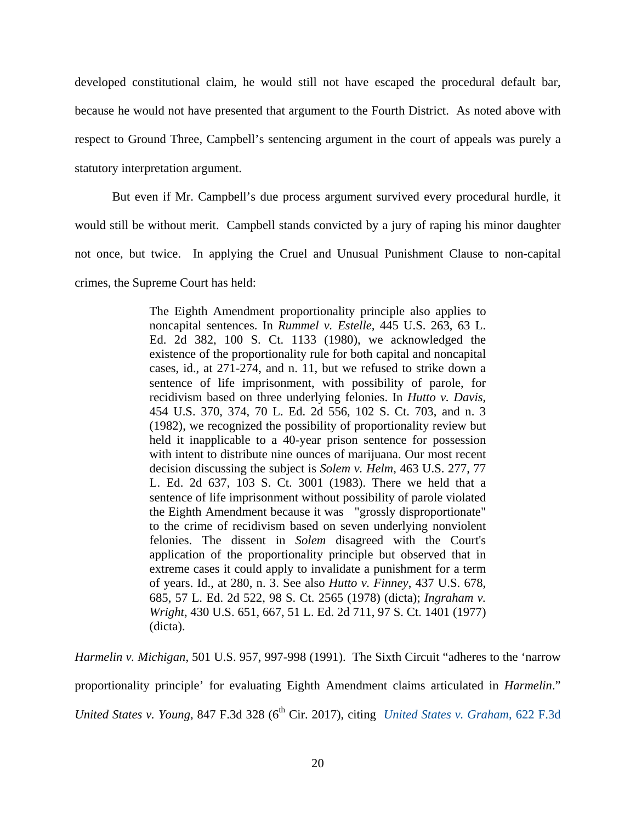developed constitutional claim, he would still not have escaped the procedural default bar, because he would not have presented that argument to the Fourth District. As noted above with respect to Ground Three, Campbell's sentencing argument in the court of appeals was purely a statutory interpretation argument.

 But even if Mr. Campbell's due process argument survived every procedural hurdle, it would still be without merit. Campbell stands convicted by a jury of raping his minor daughter not once, but twice. In applying the Cruel and Unusual Punishment Clause to non-capital crimes, the Supreme Court has held:

> The Eighth Amendment proportionality principle also applies to noncapital sentences. In *Rummel v. Estelle,* 445 U.S. 263, 63 L. Ed. 2d 382, 100 S. Ct. 1133 (1980), we acknowledged the existence of the proportionality rule for both capital and noncapital cases, id., at 271-274, and n. 11, but we refused to strike down a sentence of life imprisonment, with possibility of parole, for recidivism based on three underlying felonies. In *Hutto v. Davis*, 454 U.S. 370, 374, 70 L. Ed. 2d 556, 102 S. Ct. 703, and n. 3 (1982), we recognized the possibility of proportionality review but held it inapplicable to a 40-year prison sentence for possession with intent to distribute nine ounces of marijuana. Our most recent decision discussing the subject is *Solem v. Helm*, 463 U.S. 277, 77 L. Ed. 2d 637, 103 S. Ct. 3001 (1983). There we held that a sentence of life imprisonment without possibility of parole violated the Eighth Amendment because it was "grossly disproportionate" to the crime of recidivism based on seven underlying nonviolent felonies. The dissent in *Solem* disagreed with the Court's application of the proportionality principle but observed that in extreme cases it could apply to invalidate a punishment for a term of years. Id., at 280, n. 3. See also *Hutto v. Finney*, 437 U.S. 678, 685, 57 L. Ed. 2d 522, 98 S. Ct. 2565 (1978) (dicta); *Ingraham v. Wright*, 430 U.S. 651, 667, 51 L. Ed. 2d 711, 97 S. Ct. 1401 (1977) (dicta).

*Harmelin v. Michigan*, 501 U.S. 957, 997-998 (1991). The Sixth Circuit "adheres to the 'narrow proportionality principle' for evaluating Eighth Amendment claims articulated in *Harmelin*." *United States v. Young*, 847 F.3d 328 (6<sup>th</sup> Cir. 2017), citing *United States v. Graham*, 622 F.3d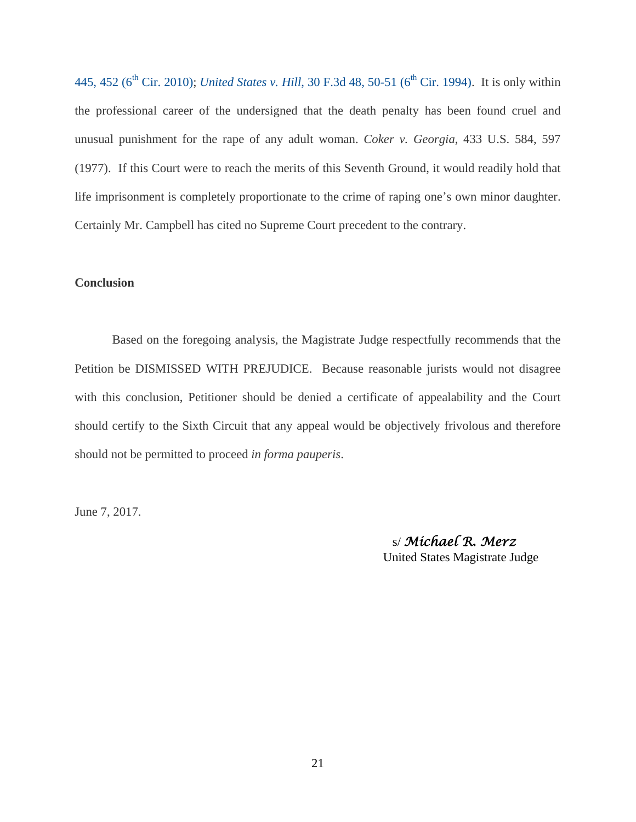445, 452 (6<sup>th</sup> Cir. 2010); *United States v. Hill*, 30 F.3d 48, 50-51 (6<sup>th</sup> Cir. 1994). It is only within the professional career of the undersigned that the death penalty has been found cruel and unusual punishment for the rape of any adult woman. *Coker v. Georgia*, 433 U.S. 584, 597 (1977). If this Court were to reach the merits of this Seventh Ground, it would readily hold that life imprisonment is completely proportionate to the crime of raping one's own minor daughter. Certainly Mr. Campbell has cited no Supreme Court precedent to the contrary.

## **Conclusion**

Based on the foregoing analysis, the Magistrate Judge respectfully recommends that the Petition be DISMISSED WITH PREJUDICE. Because reasonable jurists would not disagree with this conclusion, Petitioner should be denied a certificate of appealability and the Court should certify to the Sixth Circuit that any appeal would be objectively frivolous and therefore should not be permitted to proceed *in forma pauperis*.

June 7, 2017.

 s/ *Michael R. Merz* United States Magistrate Judge